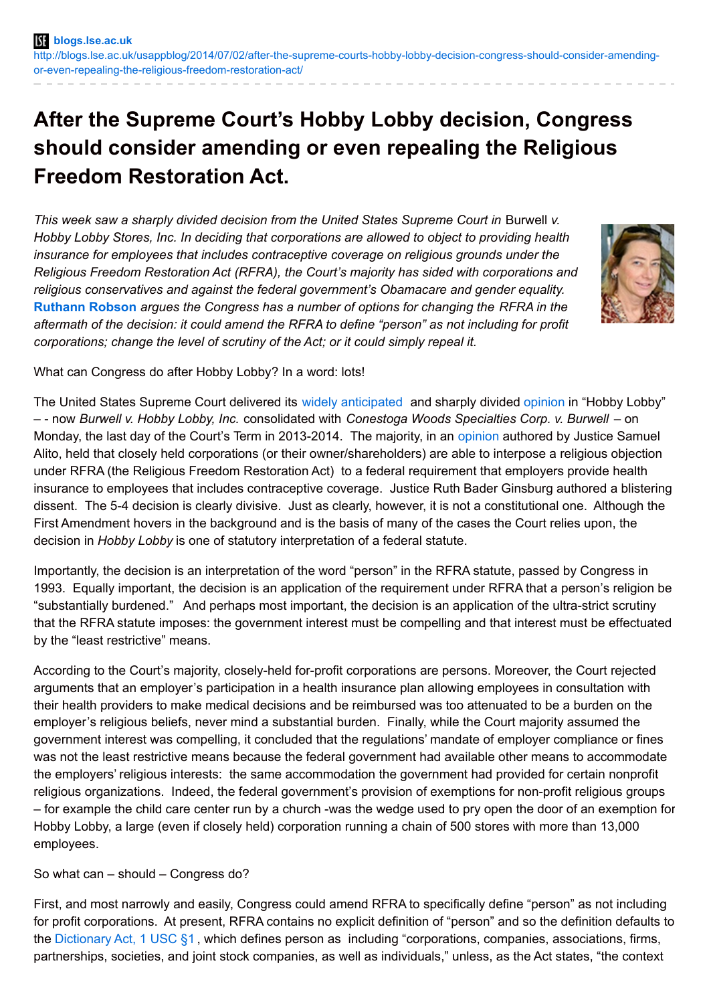## **After the Supreme Court's Hobby Lobby decision, Congress should consider amending or even repealing the Religious Freedom Restoration Act.**

*This week saw a sharply divided decision from the United States Supreme Court in* Burwell *v. Hobby Lobby Stores, Inc. In deciding that corporations are allowed to object to providing health insurance for employees that includes contraceptive coverage on religious grounds under the Religious Freedom Restoration Act (RFRA), the Court's majority has sided with corporations and religious conservatives and against the federal government's Obamacare and gender equality.* **[Ruthann](http://wp.me/p3I2YF-254#Author) Robson** *argues the Congress has a number of options for changing the RFRA in the aftermath of the decision: it could amend the RFRA to define "person" as not including for profit corporations; change the level of scrutiny of the Act; or it could simply repeal it.*



What can Congress do after Hobby Lobby? In a word: lots!

The United States Supreme Court delivered its widely [anticipated](http://blogs.lse.ac.uk/usappblog/2014/01/22/upcoming-supreme-court-cases-over-the-contraceptive-mandate-are-dominated-by-issues-of-corporate-personhood-religious-beliefs-and-sexual-equality/) and sharply divided [opinion](http://lawprofessors.typepad.com/conlaw/2014/06/divided-supreme-courts-decision-in-hobby-lobby-and-conestoga-wood-specialties-on-rfra-and-the-cont.html) in "Hobby Lobby" – - now *Burwell v. Hobby Lobby, Inc.* consolidated with *Conestoga Woods Specialties Corp. v. Burwell* – on Monday, the last day of the Court's Term in 2013-2014. The majority, in an [opinion](http://www.supremecourt.gov/opinions/13pdf/13-354_olp1.pdf) authored by Justice Samuel Alito, held that closely held corporations (or their owner/shareholders) are able to interpose a religious objection under RFRA (the Religious Freedom Restoration Act) to a federal requirement that employers provide health insurance to employees that includes contraceptive coverage. Justice Ruth Bader Ginsburg authored a blistering dissent. The 5-4 decision is clearly divisive. Just as clearly, however, it is not a constitutional one. Although the First Amendment hovers in the background and is the basis of many of the cases the Court relies upon, the decision in *Hobby Lobby* is one of statutory interpretation of a federal statute.

Importantly, the decision is an interpretation of the word "person" in the RFRA statute, passed by Congress in 1993. Equally important, the decision is an application of the requirement under RFRA that a person's religion be "substantially burdened." And perhaps most important, the decision is an application of the ultra-strict scrutiny that the RFRA statute imposes: the government interest must be compelling and that interest must be effectuated by the "least restrictive" means.

According to the Court's majority, closely-held for-profit corporations are persons. Moreover, the Court rejected arguments that an employer's participation in a health insurance plan allowing employees in consultation with their health providers to make medical decisions and be reimbursed was too attenuated to be a burden on the employer's religious beliefs, never mind a substantial burden. Finally, while the Court majority assumed the government interest was compelling, it concluded that the regulations' mandate of employer compliance or fines was not the least restrictive means because the federal government had available other means to accommodate the employers' religious interests: the same accommodation the government had provided for certain nonprofit religious organizations. Indeed, the federal government's provision of exemptions for non-profit religious groups – for example the child care center run by a church -was the wedge used to pry open the door of an exemption for Hobby Lobby, a large (even if closely held) corporation running a chain of 500 stores with more than 13,000 employees.

So what can – should – Congress do?

First, and most narrowly and easily, Congress could amend RFRA to specifically define "person" as not including for profit corporations. At present, RFRA contains no explicit definition of "person" and so the definition defaults to the [Dictionary](http://www.gpo.gov/fdsys/pkg/USCODE-2012-title1/html/USCODE-2012-title1-chap1.htm) Act, 1 USC §1 , which defines person as including "corporations, companies, associations, firms, partnerships, societies, and joint stock companies, as well as individuals," unless, as the Act states, "the context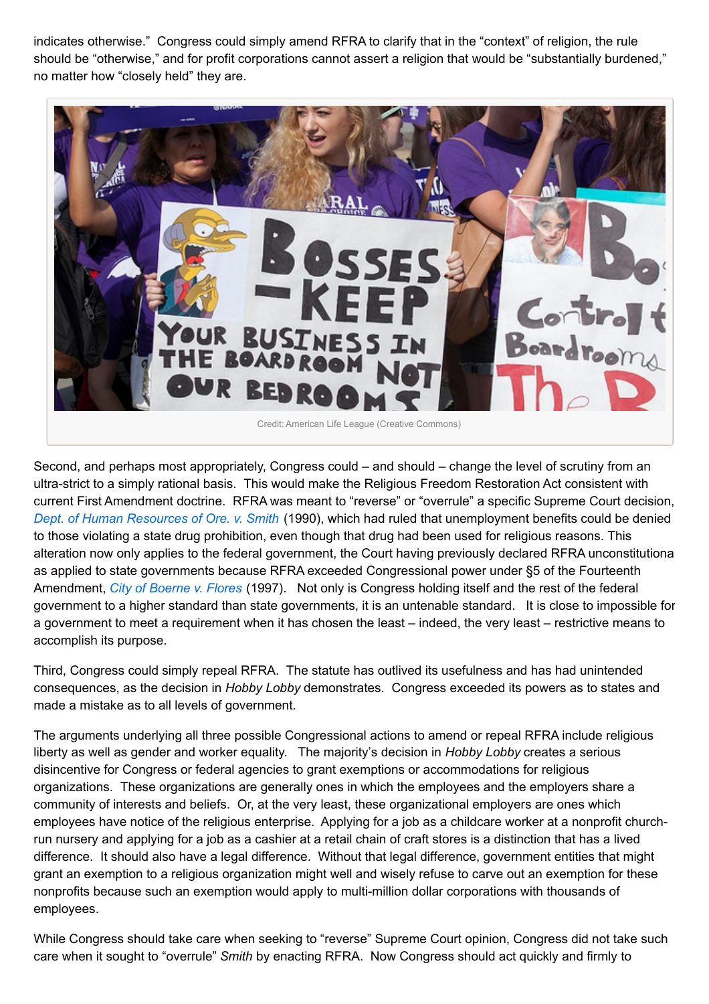indicates otherwise." Congress could simply amend RFRA to clarify that in the "context" of religion, the rule should be "otherwise," and for profit corporations cannot assert a religion that would be "substantially burdened," no matter how "closely held" they are.



Second, and perhaps most appropriately, Congress could – and should – change the level of scrutiny from an ultra-strict to a simply rational basis. This would make the Religious Freedom Restoration Act consistent with current First Amendment doctrine. RFRA was meant to "reverse" or "overrule" a specific Supreme Court decision, *Dept. of Human [Resources](https://casetext.com/case/employment-division-department-of-human-resources-of-oregon-v-smith#.U7K6vqgwJMc) of Ore. v. Smith* (1990), which had ruled that unemployment benefits could be denied to those violating a state drug prohibition, even though that drug had been used for religious reasons. This alteration now only applies to the federal government, the Court having previously declared RFRA unconstitutional as applied to state governments because RFRA exceeded Congressional power under §5 of the Fourteenth Amendment, *City of [Boerne](https://casetext.com/case/city-of-boerne-v-flores#.U7Kx_6gwJMc) v. Flores* (1997). Not only is Congress holding itself and the rest of the federal government to a higher standard than state governments, it is an untenable standard. It is close to impossible for a government to meet a requirement when it has chosen the least – indeed, the very least – restrictive means to accomplish its purpose.

Third, Congress could simply repeal RFRA. The statute has outlived its usefulness and has had unintended consequences, as the decision in *Hobby Lobby* demonstrates. Congress exceeded its powers as to states and made a mistake as to all levels of government.

The arguments underlying all three possible Congressional actions to amend or repeal RFRA include religious liberty as well as gender and worker equality. The majority's decision in *Hobby Lobby* creates a serious disincentive for Congress or federal agencies to grant exemptions or accommodations for religious organizations. These organizations are generally ones in which the employees and the employers share a community of interests and beliefs. Or, at the very least, these organizational employers are ones which employees have notice of the religious enterprise. Applying for a job as a childcare worker at a nonprofit churchrun nursery and applying for a job as a cashier at a retail chain of craft stores is a distinction that has a lived difference. It should also have a legal difference. Without that legal difference, government entities that might grant an exemption to a religious organization might well and wisely refuse to carve out an exemption for these nonprofits because such an exemption would apply to multi-million dollar corporations with thousands of employees.

While Congress should take care when seeking to "reverse" Supreme Court opinion, Congress did not take such care when it sought to "overrule" *Smith* by enacting RFRA. Now Congress should act quickly and firmly to